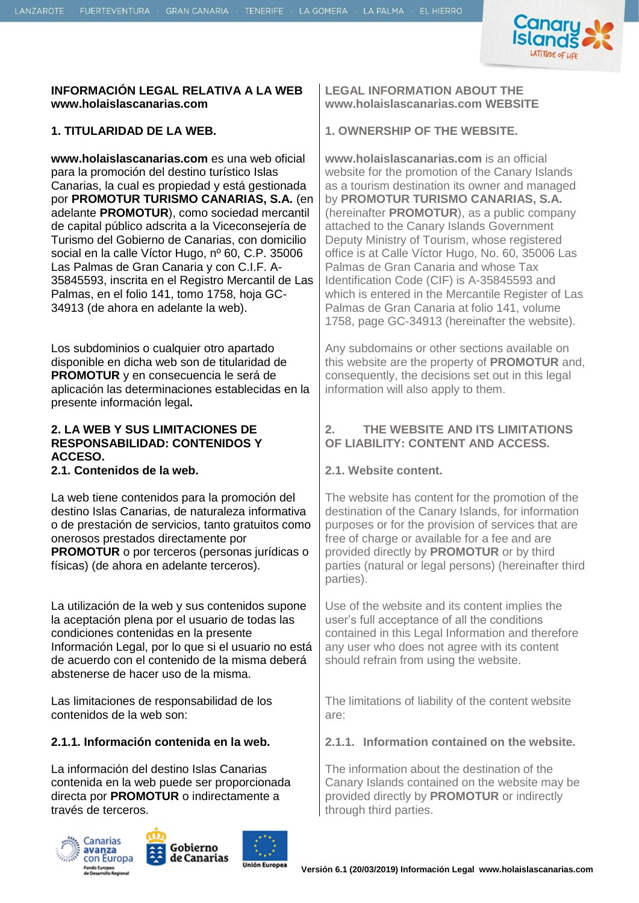

#### **INFORMACIÓN LEGAL RELATIVA A LA WEB www.holaislascanarias.com**

**www.holaislascanarias.com** es una web oficial para la promoción del destino turístico Islas Canarias, la cual es propiedad y está gestionada por **PROMOTUR TURISMO CANARIAS, S.A.** (en adelante **PROMOTUR**), como sociedad mercantil de capital público adscrita a la Viceconsejería de Turismo del Gobierno de Canarias, con domicilio social en la calle Víctor Hugo, nº 60, C.P. 35006 Las Palmas de Gran Canaria y con C.I.F. A-35845593, inscrita en el Registro Mercantil de Las Palmas, en el folio 141, tomo 1758, hoja GC-34913 (de ahora en adelante la web).

Los subdominios o cualquier otro apartado disponible en dicha web son de titularidad de **PROMOTUR** y en consecuencia le será de aplicación las determinaciones establecidas en la presente información legal**.** 

#### **2. LA WEB Y SUS LIMITACIONES DE RESPONSABILIDAD: CONTENIDOS Y ACCESO.**

**2.1. Contenidos de la web. 2.1. Website content.**

La web tiene contenidos para la promoción del destino Islas Canarias, de naturaleza informativa o de prestación de servicios, tanto gratuitos como onerosos prestados directamente por **PROMOTUR** o por terceros (personas jurídicas o físicas) (de ahora en adelante terceros).

La utilización de la web y sus contenidos supone la aceptación plena por el usuario de todas las condiciones contenidas en la presente Información Legal, por lo que si el usuario no está de acuerdo con el contenido de la misma deberá abstenerse de hacer uso de la misma.

Las limitaciones de responsabilidad de los contenidos de la web son:

La información del destino Islas Canarias contenida en la web puede ser proporcionada directa por **PROMOTUR** o indirectamente a través de terceros.







**LEGAL INFORMATION ABOUT THE www.holaislascanarias.com WEBSITE**

#### **1. TITULARIDAD DE LA WEB. 1. OWNERSHIP OF THE WEBSITE.**

**www.holaislascanarias.com** is an official website for the promotion of the Canary Islands as a tourism destination its owner and managed by **PROMOTUR TURISMO CANARIAS, S.A.** (hereinafter **PROMOTUR**), as a public company attached to the Canary Islands Government Deputy Ministry of Tourism, whose registered office is at Calle Víctor Hugo, No. 60, 35006 Las Palmas de Gran Canaria and whose Tax Identification Code (CIF) is A-35845593 and which is entered in the Mercantile Register of Las Palmas de Gran Canaria at folio 141, volume 1758, page GC-34913 (hereinafter the website).

Any subdomains or other sections available on this website are the property of **PROMOTUR** and, consequently, the decisions set out in this legal information will also apply to them.

### **2. THE WEBSITE AND ITS LIMITATIONS OF LIABILITY: CONTENT AND ACCESS.**

The website has content for the promotion of the destination of the Canary Islands, for information purposes or for the provision of services that are free of charge or available for a fee and are provided directly by **PROMOTUR** or by third parties (natural or legal persons) (hereinafter third parties).

Use of the website and its content implies the user's full acceptance of all the conditions contained in this Legal Information and therefore any user who does not agree with its content should refrain from using the website.

The limitations of liability of the content website are:

#### **2.1.1. Información contenida en la web. 2.1.1. Information contained on the website.**

The information about the destination of the Canary Islands contained on the website may be provided directly by **PROMOTUR** or indirectly through third parties.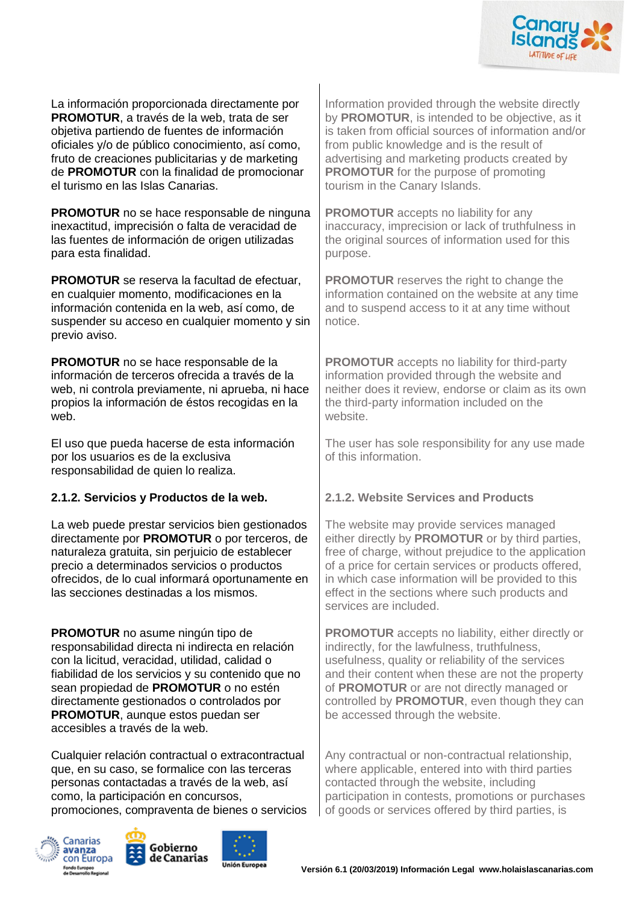

La información proporcionada directamente por **PROMOTUR**, a través de la web, trata de ser objetiva partiendo de fuentes de información oficiales y/o de público conocimiento, así como, fruto de creaciones publicitarias y de marketing de **PROMOTUR** con la finalidad de promocionar el turismo en las Islas Canarias.

**PROMOTUR** no se hace responsable de ninguna inexactitud, imprecisión o falta de veracidad de las fuentes de información de origen utilizadas para esta finalidad.

**PROMOTUR** se reserva la facultad de efectuar, en cualquier momento, modificaciones en la información contenida en la web, así como, de suspender su acceso en cualquier momento y sin previo aviso.

**PROMOTUR** no se hace responsable de la información de terceros ofrecida a través de la web, ni controla previamente, ni aprueba, ni hace propios la información de éstos recogidas en la web.

El uso que pueda hacerse de esta información por los usuarios es de la exclusiva responsabilidad de quien lo realiza.

### **2.1.2. Servicios y Productos de la web. 2.1.2. Website Services and Products**

La web puede prestar servicios bien gestionados directamente por **PROMOTUR** o por terceros, de naturaleza gratuita, sin perjuicio de establecer precio a determinados servicios o productos ofrecidos, de lo cual informará oportunamente en las secciones destinadas a los mismos.

**PROMOTUR** no asume ningún tipo de responsabilidad directa ni indirecta en relación con la licitud, veracidad, utilidad, calidad o fiabilidad de los servicios y su contenido que no sean propiedad de **PROMOTUR** o no estén directamente gestionados o controlados por **PROMOTUR**, aunque estos puedan ser accesibles a través de la web.

Cualquier relación contractual o extracontractual que, en su caso, se formalice con las terceras personas contactadas a través de la web, así como, la participación en concursos, promociones, compraventa de bienes o servicios







Information provided through the website directly by **PROMOTUR**, is intended to be objective, as it is taken from official sources of information and/or from public knowledge and is the result of advertising and marketing products created by **PROMOTUR** for the purpose of promoting tourism in the Canary Islands.

**PROMOTUR** accepts no liability for any inaccuracy, imprecision or lack of truthfulness in the original sources of information used for this purpose.

**PROMOTUR** reserves the right to change the information contained on the website at any time and to suspend access to it at any time without notice.

**PROMOTUR** accepts no liability for third-party information provided through the website and neither does it review, endorse or claim as its own the third-party information included on the website.

The user has sole responsibility for any use made of this information.

The website may provide services managed either directly by **PROMOTUR** or by third parties, free of charge, without prejudice to the application of a price for certain services or products offered, in which case information will be provided to this effect in the sections where such products and services are included.

**PROMOTUR** accepts no liability, either directly or indirectly, for the lawfulness, truthfulness, usefulness, quality or reliability of the services and their content when these are not the property of **PROMOTUR** or are not directly managed or controlled by **PROMOTUR**, even though they can be accessed through the website.

Any contractual or non-contractual relationship, where applicable, entered into with third parties contacted through the website, including participation in contests, promotions or purchases of goods or services offered by third parties, is

**Versión 6.1 (20/03/2019) Información Legal www.holaislascanarias.com**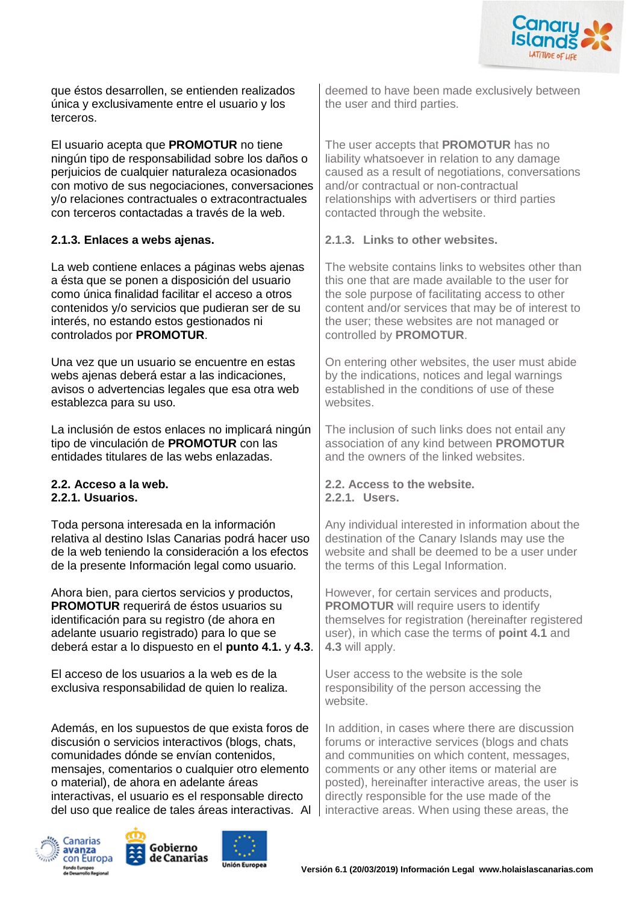

que éstos desarrollen, se entienden realizados única y exclusivamente entre el usuario y los terceros.

El usuario acepta que **PROMOTUR** no tiene ningún tipo de responsabilidad sobre los daños o perjuicios de cualquier naturaleza ocasionados con motivo de sus negociaciones, conversaciones y/o relaciones contractuales o extracontractuales con terceros contactadas a través de la web.

La web contiene enlaces a páginas webs ajenas a ésta que se ponen a disposición del usuario como única finalidad facilitar el acceso a otros contenidos y/o servicios que pudieran ser de su interés, no estando estos gestionados ni controlados por **PROMOTUR**.

Una vez que un usuario se encuentre en estas webs ajenas deberá estar a las indicaciones, avisos o advertencias legales que esa otra web establezca para su uso.

La inclusión de estos enlaces no implicará ningún tipo de vinculación de **PROMOTUR** con las entidades titulares de las webs enlazadas.

# **2.2.1. Usuarios. 2.2.1. Users.**

Toda persona interesada en la información relativa al destino Islas Canarias podrá hacer uso de la web teniendo la consideración a los efectos de la presente Información legal como usuario.

Ahora bien, para ciertos servicios y productos, **PROMOTUR** requerirá de éstos usuarios su identificación para su registro (de ahora en adelante usuario registrado) para lo que se deberá estar a lo dispuesto en el **punto 4.1.** y **4.3**.

El acceso de los usuarios a la web es de la exclusiva responsabilidad de quien lo realiza.

Además, en los supuestos de que exista foros de discusión o servicios interactivos (blogs, chats, comunidades dónde se envían contenidos, mensajes, comentarios o cualquier otro elemento o material), de ahora en adelante áreas interactivas, el usuario es el responsable directo del uso que realice de tales áreas interactivas. Al







deemed to have been made exclusively between the user and third parties.

The user accepts that **PROMOTUR** has no liability whatsoever in relation to any damage caused as a result of negotiations, conversations and/or contractual or non-contractual relationships with advertisers or third parties contacted through the website.

#### **2.1.3. Enlaces a webs ajenas. 2.1.3. Links to other websites.**

The website contains links to websites other than this one that are made available to the user for the sole purpose of facilitating access to other content and/or services that may be of interest to the user; these websites are not managed or controlled by **PROMOTUR**.

On entering other websites, the user must abide by the indications, notices and legal warnings established in the conditions of use of these websites.

The inclusion of such links does not entail any association of any kind between **PROMOTUR** and the owners of the linked websites.

**2.2. Acceso a la web. 2.2. Access to the website.**

Any individual interested in information about the destination of the Canary Islands may use the website and shall be deemed to be a user under the terms of this Legal Information.

However, for certain services and products, **PROMOTUR** will require users to identify themselves for registration (hereinafter registered user), in which case the terms of **point 4.1** and **4.3** will apply.

User access to the website is the sole responsibility of the person accessing the website.

In addition, in cases where there are discussion forums or interactive services (blogs and chats and communities on which content, messages, comments or any other items or material are posted), hereinafter interactive areas, the user is directly responsible for the use made of the interactive areas. When using these areas, the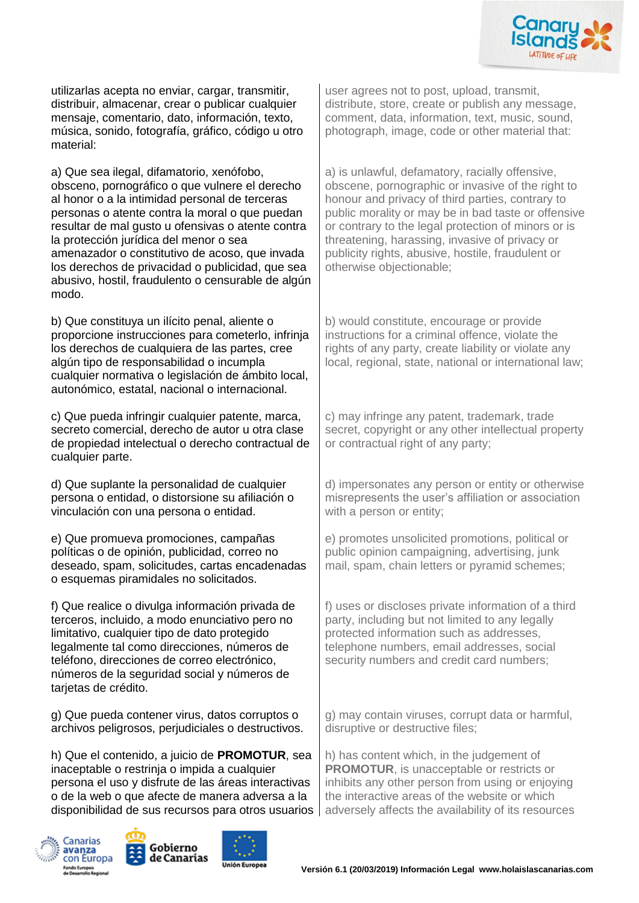

utilizarlas acepta no enviar, cargar, transmitir, distribuir, almacenar, crear o publicar cualquier mensaje, comentario, dato, información, texto, música, sonido, fotografía, gráfico, código u otro material:

a) Que sea ilegal, difamatorio, xenófobo, obsceno, pornográfico o que vulnere el derecho al honor o a la intimidad personal de terceras personas o atente contra la moral o que puedan resultar de mal gusto u ofensivas o atente contra la protección jurídica del menor o sea amenazador o constitutivo de acoso, que invada los derechos de privacidad o publicidad, que sea abusivo, hostil, fraudulento o censurable de algún modo.

b) Que constituya un ilícito penal, aliente o proporcione instrucciones para cometerlo, infrinja los derechos de cualquiera de las partes, cree algún tipo de responsabilidad o incumpla cualquier normativa o legislación de ámbito local, autonómico, estatal, nacional o internacional.

c) Que pueda infringir cualquier patente, marca, secreto comercial, derecho de autor u otra clase de propiedad intelectual o derecho contractual de cualquier parte.

d) Que suplante la personalidad de cualquier persona o entidad, o distorsione su afiliación o vinculación con una persona o entidad.

e) Que promueva promociones, campañas políticas o de opinión, publicidad, correo no deseado, spam, solicitudes, cartas encadenadas o esquemas piramidales no solicitados.

f) Que realice o divulga información privada de terceros, incluido, a modo enunciativo pero no limitativo, cualquier tipo de dato protegido legalmente tal como direcciones, números de teléfono, direcciones de correo electrónico, números de la seguridad social y números de tarietas de crédito.

g) Que pueda contener virus, datos corruptos o archivos peligrosos, perjudiciales o destructivos.

h) Que el contenido, a juicio de **PROMOTUR**, sea inaceptable o restrinja o impida a cualquier persona el uso y disfrute de las áreas interactivas o de la web o que afecte de manera adversa a la disponibilidad de sus recursos para otros usuarios  $|$  adversely affects the availability of its resources







user agrees not to post, upload, transmit, distribute, store, create or publish any message, comment, data, information, text, music, sound, photograph, image, code or other material that:

a) is unlawful, defamatory, racially offensive, obscene, pornographic or invasive of the right to honour and privacy of third parties, contrary to public morality or may be in bad taste or offensive or contrary to the legal protection of minors or is threatening, harassing, invasive of privacy or publicity rights, abusive, hostile, fraudulent or otherwise objectionable;

b) would constitute, encourage or provide instructions for a criminal offence, violate the rights of any party, create liability or violate any local, regional, state, national or international law;

c) may infringe any patent, trademark, trade secret, copyright or any other intellectual property or contractual right of any party;

d) impersonates any person or entity or otherwise misrepresents the user's affiliation or association with a person or entity:

e) promotes unsolicited promotions, political or public opinion campaigning, advertising, junk mail, spam, chain letters or pyramid schemes;

f) uses or discloses private information of a third party, including but not limited to any legally protected information such as addresses, telephone numbers, email addresses, social security numbers and credit card numbers;

g) may contain viruses, corrupt data or harmful, disruptive or destructive files;

h) has content which, in the judgement of **PROMOTUR**, is unacceptable or restricts or inhibits any other person from using or enjoying the interactive areas of the website or which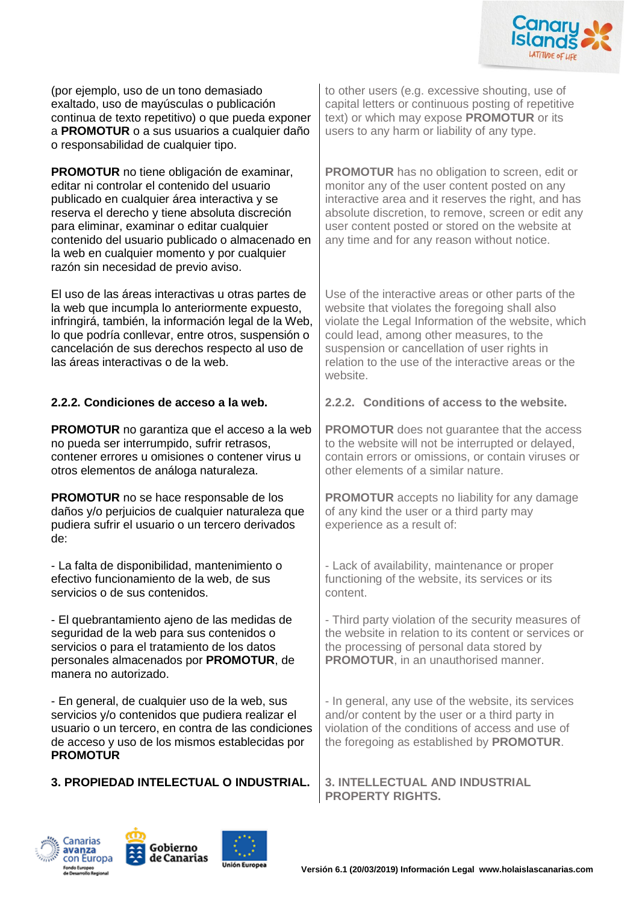

(por ejemplo, uso de un tono demasiado exaltado, uso de mayúsculas o publicación continua de texto repetitivo) o que pueda exponer a **PROMOTUR** o a sus usuarios a cualquier daño o responsabilidad de cualquier tipo.

**PROMOTUR** no tiene obligación de examinar, editar ni controlar el contenido del usuario publicado en cualquier área interactiva y se reserva el derecho y tiene absoluta discreción para eliminar, examinar o editar cualquier contenido del usuario publicado o almacenado en la web en cualquier momento y por cualquier razón sin necesidad de previo aviso.

El uso de las áreas interactivas u otras partes de la web que incumpla lo anteriormente expuesto, infringirá, también, la información legal de la Web, lo que podría conllevar, entre otros, suspensión o cancelación de sus derechos respecto al uso de las áreas interactivas o de la web.

**PROMOTUR** no garantiza que el acceso a la web no pueda ser interrumpido, sufrir retrasos, contener errores u omisiones o contener virus u otros elementos de análoga naturaleza.

**PROMOTUR** no se hace responsable de los daños y/o perjuicios de cualquier naturaleza que pudiera sufrir el usuario o un tercero derivados de:

- La falta de disponibilidad, mantenimiento o efectivo funcionamiento de la web, de sus servicios o de sus contenidos.

- El quebrantamiento ajeno de las medidas de seguridad de la web para sus contenidos o servicios o para el tratamiento de los datos personales almacenados por **PROMOTUR**, de manera no autorizado.

- En general, de cualquier uso de la web, sus servicios y/o contenidos que pudiera realizar el usuario o un tercero, en contra de las condiciones de acceso y uso de los mismos establecidas por **PROMOTUR**

### **3. PROPIEDAD INTELECTUAL O INDUSTRIAL. 3. INTELLECTUAL AND INDUSTRIAL**



**PROMOTUR** has no obligation to screen, edit or monitor any of the user content posted on any interactive area and it reserves the right, and has absolute discretion, to remove, screen or edit any user content posted or stored on the website at any time and for any reason without notice.

Use of the interactive areas or other parts of the website that violates the foregoing shall also violate the Legal Information of the website, which could lead, among other measures, to the suspension or cancellation of user rights in relation to the use of the interactive areas or the website.

### **2.2.2. Condiciones de acceso a la web. 2.2.2. Conditions of access to the website.**

**PROMOTUR** does not quarantee that the access to the website will not be interrupted or delayed, contain errors or omissions, or contain viruses or other elements of a similar nature.

**PROMOTUR** accepts no liability for any damage of any kind the user or a third party may experience as a result of:

- Lack of availability, maintenance or proper functioning of the website, its services or its content.

- Third party violation of the security measures of the website in relation to its content or services or the processing of personal data stored by **PROMOTUR**, in an unauthorised manner.

- In general, any use of the website, its services and/or content by the user or a third party in violation of the conditions of access and use of the foregoing as established by **PROMOTUR**.

**PROPERTY RIGHTS.**





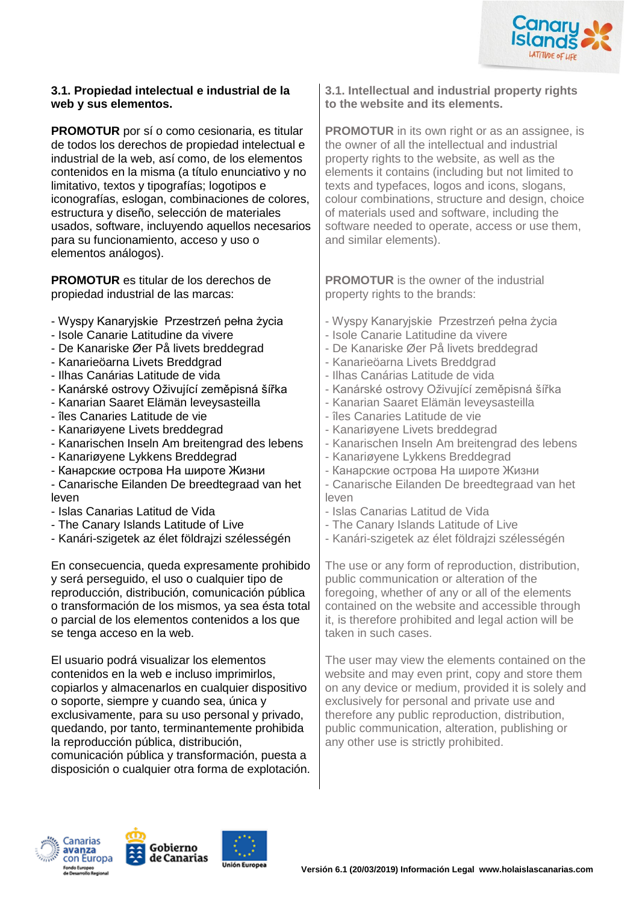

#### **3.1. Propiedad intelectual e industrial de la web y sus elementos.**

**PROMOTUR** por sí o como cesionaria, es titular de todos los derechos de propiedad intelectual e industrial de la web, así como, de los elementos contenidos en la misma (a título enunciativo y no limitativo, textos y tipografías; logotipos e iconografías, eslogan, combinaciones de colores, estructura y diseño, selección de materiales usados, software, incluyendo aquellos necesarios para su funcionamiento, acceso y uso o elementos análogos).

**PROMOTUR** es titular de los derechos de propiedad industrial de las marcas:

- Wyspy Kanaryjskie Przestrzeń pełna życia
- Isole Canarie Latitudine da vivere
- De Kanariske Øer På livets breddegrad
- Kanarieöarna Livets Breddgrad
- Ilhas Canárias Latitude de vida
- Kanárské ostrovy Oživující zeměpisná šířka
- Kanarian Saaret Elämän leveysasteilla
- îles Canaries Latitude de vie
- Kanariøyene Livets breddegrad
- Kanarischen Inseln Am breitengrad des lebens
- Kanariøyene Lykkens Breddegrad
- Канарские острова На широте Жизни

- Canarische Eilanden De breedtegraad van het leven

- Islas Canarias Latitud de Vida
- The Canary Islands Latitude of Live
- Kanári-szigetek az élet földrajzi szélességén

En consecuencia, queda expresamente prohibido y será perseguido, el uso o cualquier tipo de reproducción, distribución, comunicación pública o transformación de los mismos, ya sea ésta total o parcial de los elementos contenidos a los que se tenga acceso en la web.

El usuario podrá visualizar los elementos contenidos en la web e incluso imprimirlos, copiarlos y almacenarlos en cualquier dispositivo o soporte, siempre y cuando sea, única y exclusivamente, para su uso personal y privado, quedando, por tanto, terminantemente prohibida la reproducción pública, distribución,

comunicación pública y transformación, puesta a disposición o cualquier otra forma de explotación.

**3.1. Intellectual and industrial property rights to the website and its elements.**

**PROMOTUR** in its own right or as an assignee, is the owner of all the intellectual and industrial property rights to the website, as well as the elements it contains (including but not limited to texts and typefaces, logos and icons, slogans, colour combinations, structure and design, choice of materials used and software, including the software needed to operate, access or use them, and similar elements).

**PROMOTUR** is the owner of the industrial property rights to the brands:

- Wyspy Kanaryjskie Przestrzeń pełna życia - Isole Canarie Latitudine da vivere - De Kanariske Øer På livets breddegrad - Kanarieöarna Livets Breddgrad - Ilhas Canárias Latitude de vida - Kanárské ostrovy Oživující zeměpisná šířka - Kanarian Saaret Elämän leveysasteilla - îles Canaries Latitude de vie - Kanariøyene Livets breddegrad - Kanarischen Inseln Am breitengrad des lebens - Kanariøyene Lykkens Breddegrad - Канарские острова На широте Жизни - Canarische Eilanden De breedtegraad van het leven - Islas Canarias Latitud de Vida - The Canary Islands Latitude of Live - Kanári-szigetek az élet földrajzi szélességén The use or any form of reproduction, distribution,

public communication or alteration of the foregoing, whether of any or all of the elements contained on the website and accessible through it, is therefore prohibited and legal action will be taken in such cases.

The user may view the elements contained on the website and may even print, copy and store them on any device or medium, provided it is solely and exclusively for personal and private use and therefore any public reproduction, distribution, public communication, alteration, publishing or any other use is strictly prohibited.





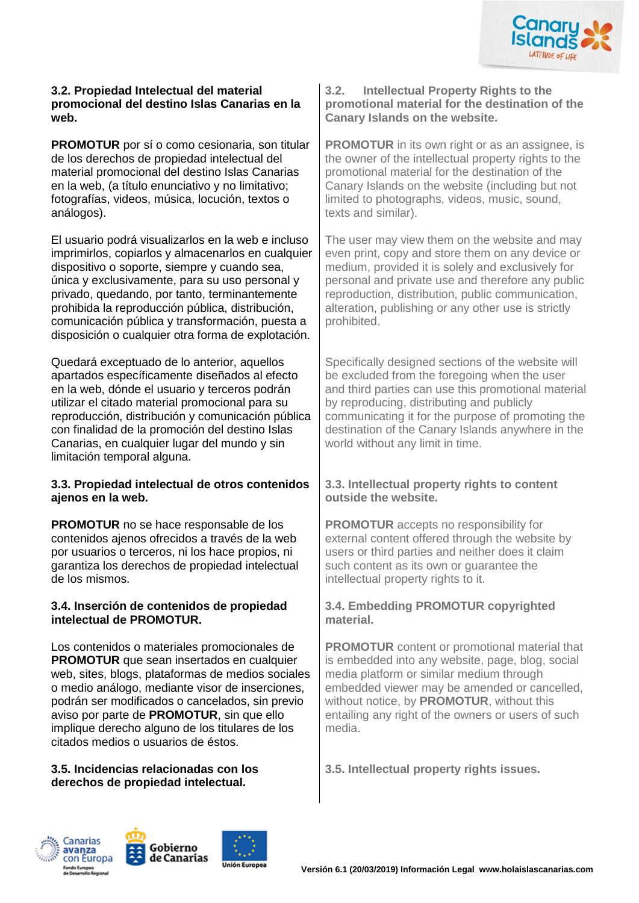

#### **3.2. Propiedad Intelectual del material promocional del destino Islas Canarias en la web.**

**PROMOTUR** por sí o como cesionaria, son titular de los derechos de propiedad intelectual del material promocional del destino Islas Canarias en la web, (a título enunciativo y no limitativo; fotografías, videos, música, locución, textos o análogos).

El usuario podrá visualizarlos en la web e incluso imprimirlos, copiarlos y almacenarlos en cualquier dispositivo o soporte, siempre y cuando sea, única y exclusivamente, para su uso personal y privado, quedando, por tanto, terminantemente prohibida la reproducción pública, distribución, comunicación pública y transformación, puesta a disposición o cualquier otra forma de explotación.

Quedará exceptuado de lo anterior, aquellos apartados específicamente diseñados al efecto en la web, dónde el usuario y terceros podrán utilizar el citado material promocional para su reproducción, distribución y comunicación pública con finalidad de la promoción del destino Islas Canarias, en cualquier lugar del mundo y sin limitación temporal alguna.

### **3.3. Propiedad intelectual de otros contenidos ajenos en la web.**

**PROMOTUR** no se hace responsable de los contenidos ajenos ofrecidos a través de la web por usuarios o terceros, ni los hace propios, ni garantiza los derechos de propiedad intelectual de los mismos.

### **3.4. Inserción de contenidos de propiedad intelectual de PROMOTUR.**

Los contenidos o materiales promocionales de **PROMOTUR** que sean insertados en cualquier web, sites, blogs, plataformas de medios sociales o medio análogo, mediante visor de inserciones, podrán ser modificados o cancelados, sin previo aviso por parte de **PROMOTUR**, sin que ello implique derecho alguno de los titulares de los citados medios o usuarios de éstos.

### **3.5. Incidencias relacionadas con los derechos de propiedad intelectual.**

**3.2. Intellectual Property Rights to the promotional material for the destination of the Canary Islands on the website.**

**PROMOTUR** in its own right or as an assignee, is the owner of the intellectual property rights to the promotional material for the destination of the Canary Islands on the website (including but not limited to photographs, videos, music, sound, texts and similar).

The user may view them on the website and may even print, copy and store them on any device or medium, provided it is solely and exclusively for personal and private use and therefore any public reproduction, distribution, public communication, alteration, publishing or any other use is strictly prohibited.

Specifically designed sections of the website will be excluded from the foregoing when the user and third parties can use this promotional material by reproducing, distributing and publicly communicating it for the purpose of promoting the destination of the Canary Islands anywhere in the world without any limit in time.

### **3.3. Intellectual property rights to content outside the website.**

**PROMOTUR** accepts no responsibility for external content offered through the website by users or third parties and neither does it claim such content as its own or guarantee the intellectual property rights to it.

## **3.4. Embedding PROMOTUR copyrighted material.**

**PROMOTUR** content or promotional material that is embedded into any website, page, blog, social media platform or similar medium through embedded viewer may be amended or cancelled, without notice, by **PROMOTUR**, without this entailing any right of the owners or users of such media.

**3.5. Intellectual property rights issues.**





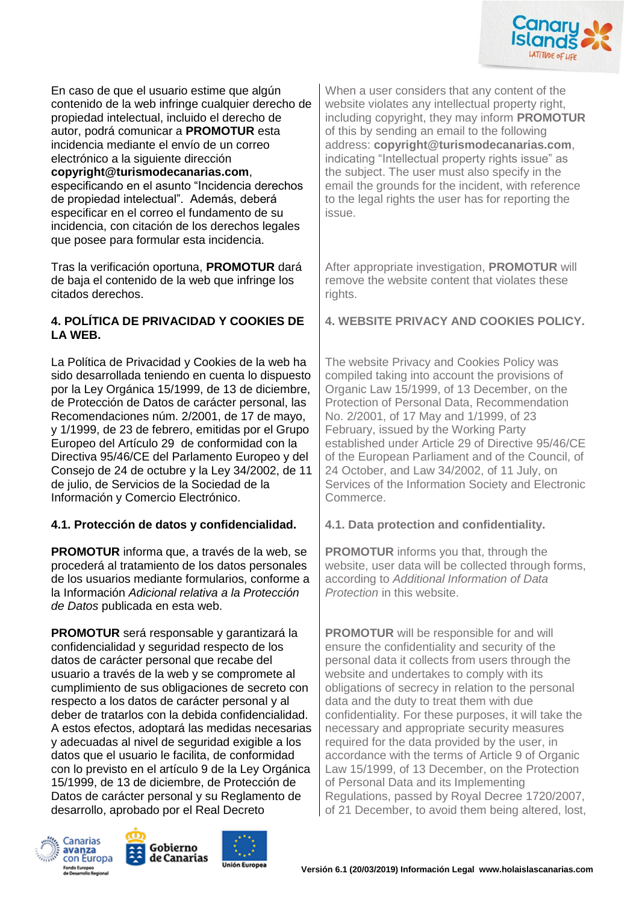

En caso de que el usuario estime que algún contenido de la web infringe cualquier derecho de propiedad intelectual, incluido el derecho de autor, podrá comunicar a **PROMOTUR** esta incidencia mediante el envío de un correo electrónico a la siguiente dirección

### **copyright@turismodecanarias.com**,

especificando en el asunto "Incidencia derechos de propiedad intelectual". Además, deberá especificar en el correo el fundamento de su incidencia, con citación de los derechos legales que posee para formular esta incidencia.

Tras la verificación oportuna, **PROMOTUR** dará de baja el contenido de la web que infringe los citados derechos.

### **4. POLÍTICA DE PRIVACIDAD Y COOKIES DE LA WEB.**

La Política de Privacidad y Cookies de la web ha sido desarrollada teniendo en cuenta lo dispuesto por la Ley Orgánica 15/1999, de 13 de diciembre, de Protección de Datos de carácter personal, las Recomendaciones núm. 2/2001, de 17 de mayo, y 1/1999, de 23 de febrero, emitidas por el Grupo Europeo del Artículo 29 de conformidad con la Directiva 95/46/CE del Parlamento Europeo y del Consejo de 24 de octubre y la Ley 34/2002, de 11 de julio, de Servicios de la Sociedad de la Información y Comercio Electrónico.

### **4.1. Protección de datos y confidencialidad. 4.1. Data protection and confidentiality.**

**PROMOTUR** informa que, a través de la web, se procederá al tratamiento de los datos personales de los usuarios mediante formularios, conforme a la Información *Adicional relativa a la Protección de Datos* publicada en esta web.

**PROMOTUR** será responsable y garantizará la confidencialidad y seguridad respecto de los datos de carácter personal que recabe del usuario a través de la web y se compromete al cumplimiento de sus obligaciones de secreto con respecto a los datos de carácter personal y al deber de tratarlos con la debida confidencialidad. A estos efectos, adoptará las medidas necesarias y adecuadas al nivel de seguridad exigible a los datos que el usuario le facilita, de conformidad con lo previsto en el artículo 9 de la Ley Orgánica 15/1999, de 13 de diciembre, de Protección de Datos de carácter personal y su Reglamento de desarrollo, aprobado por el Real Decreto







When a user considers that any content of the website violates any intellectual property right, including copyright, they may inform **PROMOTUR** of this by sending an email to the following address: **copyright@turismodecanarias.com**, indicating "Intellectual property rights issue" as the subject. The user must also specify in the email the grounds for the incident, with reference to the legal rights the user has for reporting the issue.

After appropriate investigation, **PROMOTUR** will remove the website content that violates these rights.

**4. WEBSITE PRIVACY AND COOKIES POLICY.**

The website Privacy and Cookies Policy was compiled taking into account the provisions of Organic Law 15/1999, of 13 December, on the Protection of Personal Data, Recommendation No. 2/2001, of 17 May and 1/1999, of 23 February, issued by the Working Party established under Article 29 of Directive 95/46/CE of the European Parliament and of the Council, of 24 October, and Law 34/2002, of 11 July, on Services of the Information Society and Electronic Commerce.

**PROMOTUR** informs you that, through the website, user data will be collected through forms, according to *Additional Information of Data Protection* in this website.

**PROMOTUR** will be responsible for and will ensure the confidentiality and security of the personal data it collects from users through the website and undertakes to comply with its obligations of secrecy in relation to the personal data and the duty to treat them with due confidentiality. For these purposes, it will take the necessary and appropriate security measures required for the data provided by the user, in accordance with the terms of Article 9 of Organic Law 15/1999, of 13 December, on the Protection of Personal Data and its Implementing Regulations, passed by Royal Decree 1720/2007, of 21 December, to avoid them being altered, lost,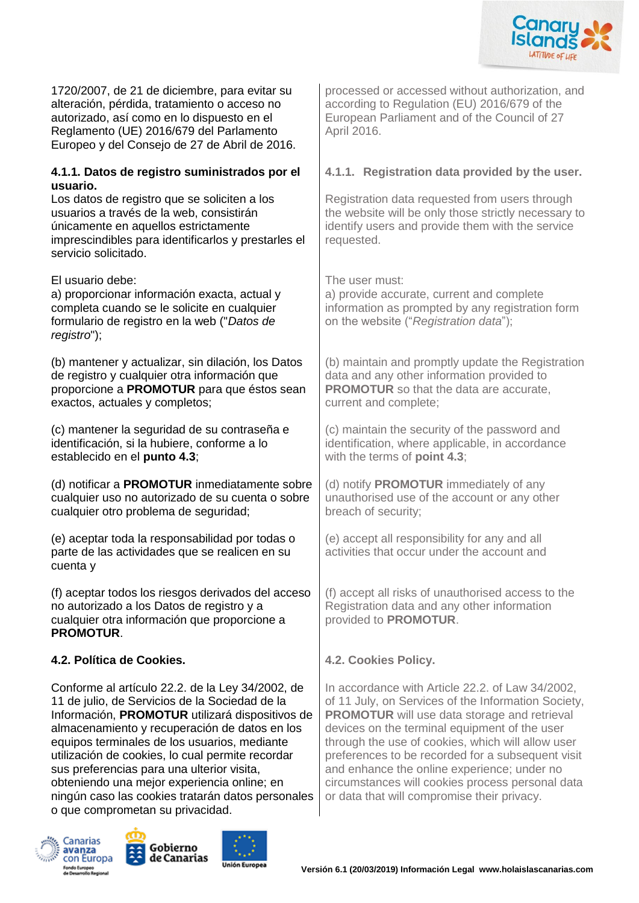

1720/2007, de 21 de diciembre, para evitar su alteración, pérdida, tratamiento o acceso no autorizado, así como en lo dispuesto en el Reglamento (UE) 2016/679 del Parlamento Europeo y del Consejo de 27 de Abril de 2016.

#### **4.1.1. Datos de registro suministrados por el usuario.**

Los datos de registro que se soliciten a los usuarios a través de la web, consistirán únicamente en aquellos estrictamente imprescindibles para identificarlos y prestarles el servicio solicitado.

El usuario debe: The user must: a) proporcionar información exacta, actual y completa cuando se le solicite en cualquier formulario de registro en la web ("*Datos de registro*");

(b) mantener y actualizar, sin dilación, los Datos de registro y cualquier otra información que proporcione a **PROMOTUR** para que éstos sean exactos, actuales y completos;

(c) mantener la seguridad de su contraseña e identificación, si la hubiere, conforme a lo establecido en el **punto 4.3**;

(d) notificar a **PROMOTUR** inmediatamente sobre cualquier uso no autorizado de su cuenta o sobre cualquier otro problema de seguridad;

(e) aceptar toda la responsabilidad por todas o parte de las actividades que se realicen en su cuenta y

(f) aceptar todos los riesgos derivados del acceso no autorizado a los Datos de registro y a cualquier otra información que proporcione a **PROMOTUR**.

# **4.2. Política de Cookies. 4.2. Cookies Policy.**

Conforme al artículo 22.2. de la Ley 34/2002, de 11 de julio, de Servicios de la Sociedad de la Información, **PROMOTUR** utilizará dispositivos de almacenamiento y recuperación de datos en los equipos terminales de los usuarios, mediante utilización de cookies, lo cual permite recordar sus preferencias para una ulterior visita, obteniendo una mejor experiencia online; en ningún caso las cookies tratarán datos personales o que comprometan su privacidad.







processed or accessed without authorization, and according to Regulation (EU) 2016/679 of the European Parliament and of the Council of 27 April 2016.

# **4.1.1. Registration data provided by the user.**

Registration data requested from users through the website will be only those strictly necessary to identify users and provide them with the service requested.

a) provide accurate, current and complete information as prompted by any registration form on the website ("*Registration data*");

(b) maintain and promptly update the Registration data and any other information provided to **PROMOTUR** so that the data are accurate. current and complete;

(c) maintain the security of the password and identification, where applicable, in accordance with the terms of **point 4.3**;

(d) notify **PROMOTUR** immediately of any unauthorised use of the account or any other breach of security;

(e) accept all responsibility for any and all activities that occur under the account and

(f) accept all risks of unauthorised access to the Registration data and any other information provided to **PROMOTUR**.

In accordance with Article 22.2. of Law 34/2002, of 11 July, on Services of the Information Society, **PROMOTUR** will use data storage and retrieval devices on the terminal equipment of the user through the use of cookies, which will allow user preferences to be recorded for a subsequent visit and enhance the online experience; under no circumstances will cookies process personal data or data that will compromise their privacy.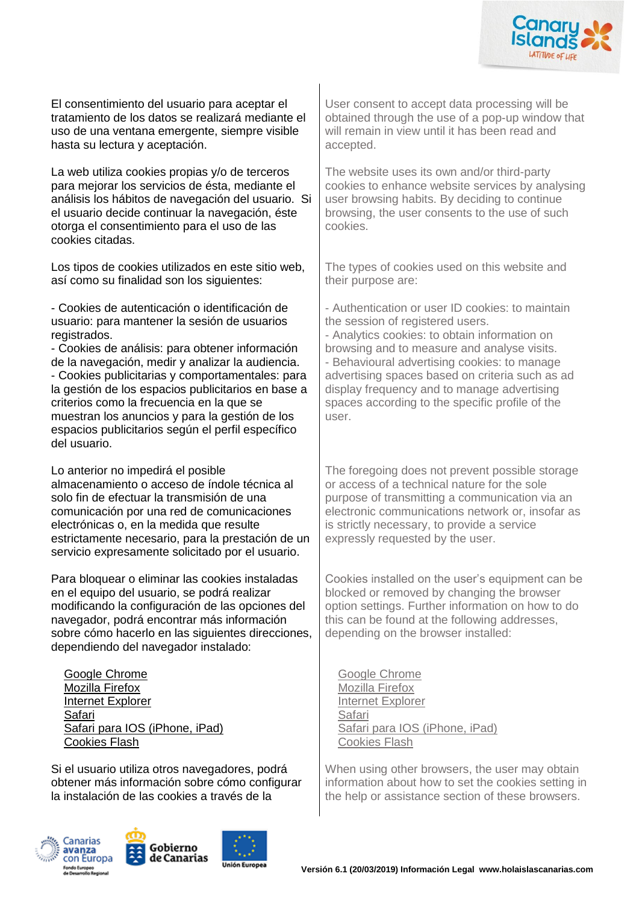

El consentimiento del usuario para aceptar el tratamiento de los datos se realizará mediante el uso de una ventana emergente, siempre visible hasta su lectura y aceptación.

La web utiliza cookies propias y/o de terceros para mejorar los servicios de ésta, mediante el análisis los hábitos de navegación del usuario. Si el usuario decide continuar la navegación, éste otorga el consentimiento para el uso de las cookies citadas.

Los tipos de cookies utilizados en este sitio web, así como su finalidad son los siguientes:

- Cookies de autenticación o identificación de usuario: para mantener la sesión de usuarios registrados.

- Cookies de análisis: para obtener información de la navegación, medir y analizar la audiencia. - Cookies publicitarias y comportamentales: para la gestión de los espacios publicitarios en base a criterios como la frecuencia en la que se muestran los anuncios y para la gestión de los espacios publicitarios según el perfil específico del usuario.

Lo anterior no impedirá el posible almacenamiento o acceso de índole técnica al solo fin de efectuar la transmisión de una comunicación por una red de comunicaciones electrónicas o, en la medida que resulte estrictamente necesario, para la prestación de un servicio expresamente solicitado por el usuario.

Para bloquear o eliminar las cookies instaladas en el equipo del usuario, se podrá realizar modificando la configuración de las opciones del navegador, podrá encontrar más información sobre cómo hacerlo en las siguientes direcciones, dependiendo del navegador instalado:

[Google Chrome](http://support.google.com/chrome/bin/answer.py?hl=es&answer=95647) [Mozilla Firefox](http://support.mozilla.org/es/kb/habilitar-y-deshabilitar-cookies-que-los-sitios-we) [Internet Explorer](http://windows.microsoft.com/es-es/windows7/how-to-manage-cookies-in-internet-explorer-9) [Safari](http://support.apple.com/kb/ph5042) [Safari para IOS \(iPhone, iPad\)](http://support.apple.com/kb/HT1677?viewlocale=es_ES) [Cookies Flash](http://www.macromedia.com/support/documentation/es/flashplayer/help/settings_manager07.html)

Si el usuario utiliza otros navegadores, podrá obtener más información sobre cómo configurar la instalación de las cookies a través de la







User consent to accept data processing will be obtained through the use of a pop-up window that will remain in view until it has been read and accepted.

The website uses its own and/or third-party cookies to enhance website services by analysing user browsing habits. By deciding to continue browsing, the user consents to the use of such cookies.

The types of cookies used on this website and their purpose are:

- Authentication or user ID cookies: to maintain the session of registered users.

- Analytics cookies: to obtain information on browsing and to measure and analyse visits. - Behavioural advertising cookies: to manage advertising spaces based on criteria such as ad display frequency and to manage advertising spaces according to the specific profile of the user.

The foregoing does not prevent possible storage or access of a technical nature for the sole purpose of transmitting a communication via an electronic communications network or, insofar as is strictly necessary, to provide a service expressly requested by the user.

Cookies installed on the user's equipment can be blocked or removed by changing the browser option settings. Further information on how to do this can be found at the following addresses, depending on the browser installed:

[Google Chrome](http://support.google.com/chrome/bin/answer.py?hl=es&answer=95647) [Mozilla Firefox](http://support.mozilla.org/es/kb/habilitar-y-deshabilitar-cookies-que-los-sitios-we) [Internet Explorer](http://windows.microsoft.com/es-es/windows7/how-to-manage-cookies-in-internet-explorer-9) [Safari](http://support.apple.com/kb/ph5042) [Safari para IOS \(iPhone, iPad\)](http://support.apple.com/kb/HT1677?viewlocale=es_ES) [Cookies Flash](http://www.macromedia.com/support/documentation/es/flashplayer/help/settings_manager07.html)

When using other browsers, the user may obtain information about how to set the cookies setting in the help or assistance section of these browsers.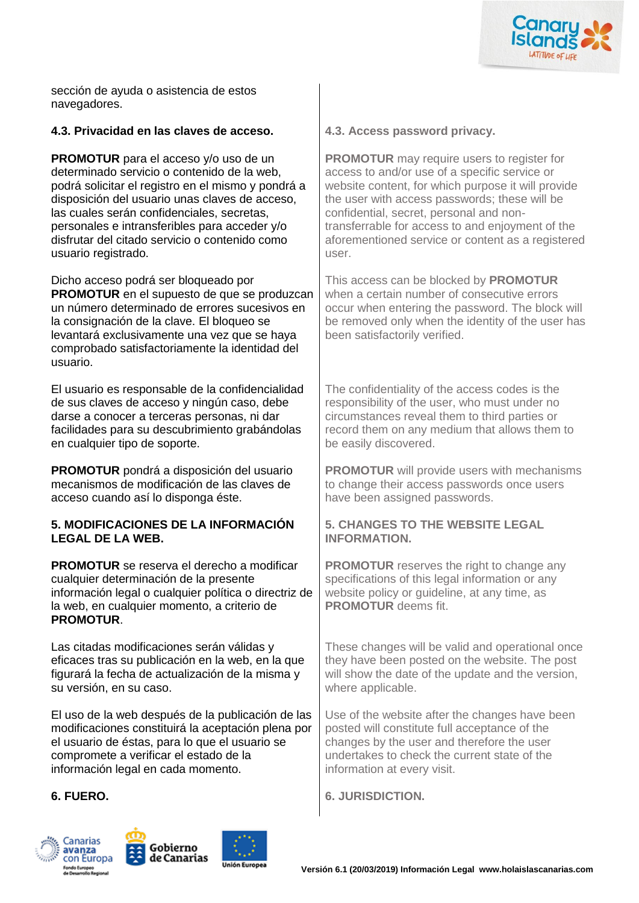

sección de ayuda o asistencia de estos navegadores.

#### **4.3. Privacidad en las claves de acceso. 4.3. Access password privacy.**

**PROMOTUR** para el acceso y/o uso de un determinado servicio o contenido de la web, podrá solicitar el registro en el mismo y pondrá a disposición del usuario unas claves de acceso, las cuales serán confidenciales, secretas, personales e intransferibles para acceder y/o disfrutar del citado servicio o contenido como usuario registrado.

Dicho acceso podrá ser bloqueado por **PROMOTUR** en el supuesto de que se produzcan un número determinado de errores sucesivos en la consignación de la clave. El bloqueo se levantará exclusivamente una vez que se haya comprobado satisfactoriamente la identidad del usuario.

El usuario es responsable de la confidencialidad de sus claves de acceso y ningún caso, debe darse a conocer a terceras personas, ni dar facilidades para su descubrimiento grabándolas en cualquier tipo de soporte.

**PROMOTUR** pondrá a disposición del usuario mecanismos de modificación de las claves de acceso cuando así lo disponga éste.

#### **5. MODIFICACIONES DE LA INFORMACIÓN LEGAL DE LA WEB.**

**PROMOTUR** se reserva el derecho a modificar cualquier determinación de la presente información legal o cualquier política o directriz de la web, en cualquier momento, a criterio de **PROMOTUR**.

Las citadas modificaciones serán válidas y eficaces tras su publicación en la web, en la que figurará la fecha de actualización de la misma y su versión, en su caso.

El uso de la web después de la publicación de las modificaciones constituirá la aceptación plena por el usuario de éstas, para lo que el usuario se compromete a verificar el estado de la información legal en cada momento.







**PROMOTUR** may require users to register for access to and/or use of a specific service or website content, for which purpose it will provide the user with access passwords; these will be confidential, secret, personal and nontransferrable for access to and enjoyment of the aforementioned service or content as a registered user.

This access can be blocked by **PROMOTUR** when a certain number of consecutive errors occur when entering the password. The block will be removed only when the identity of the user has been satisfactorily verified.

The confidentiality of the access codes is the responsibility of the user, who must under no circumstances reveal them to third parties or record them on any medium that allows them to be easily discovered.

**PROMOTUR** will provide users with mechanisms to change their access passwords once users have been assigned passwords.

#### **5. CHANGES TO THE WEBSITE LEGAL INFORMATION.**

**PROMOTUR** reserves the right to change any specifications of this legal information or any website policy or quideline, at any time, as **PROMOTUR** deems fit.

These changes will be valid and operational once they have been posted on the website. The post will show the date of the update and the version. where applicable.

Use of the website after the changes have been posted will constitute full acceptance of the changes by the user and therefore the user undertakes to check the current state of the information at every visit.

**6. FUERO. 6. JURISDICTION.**